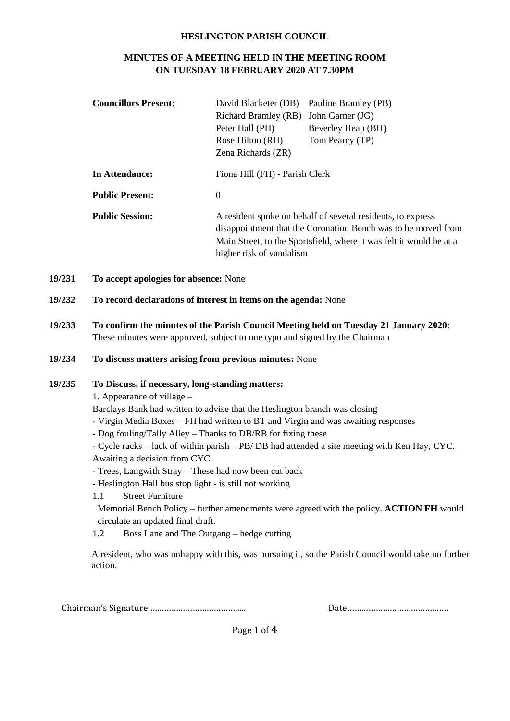#### **HESLINGTON PARISH COUNCIL**

### **MINUTES OF A MEETING HELD IN THE MEETING ROOM ON TUESDAY 18 FEBRUARY 2020 AT 7.30PM**

| <b>Councillors Present:</b> | David Blacketer (DB)                                                                                                                 | Pauline Bramley (PB)                                        |  |  |
|-----------------------------|--------------------------------------------------------------------------------------------------------------------------------------|-------------------------------------------------------------|--|--|
|                             | Richard Bramley (RB)                                                                                                                 | John Garner (JG)                                            |  |  |
|                             | Peter Hall (PH)                                                                                                                      | Beverley Heap (BH)                                          |  |  |
|                             | Rose Hilton (RH)                                                                                                                     | Tom Pearcy (TP)                                             |  |  |
|                             | Zena Richards (ZR)                                                                                                                   |                                                             |  |  |
| In Attendance:              | Fiona Hill (FH) - Parish Clerk                                                                                                       |                                                             |  |  |
| <b>Public Present:</b>      | $\Omega$                                                                                                                             |                                                             |  |  |
| <b>Public Session:</b>      |                                                                                                                                      | A resident spoke on behalf of several residents, to express |  |  |
|                             | disappointment that the Coronation Bench was to be moved from<br>Main Street, to the Sportsfield, where it was felt it would be at a |                                                             |  |  |
|                             |                                                                                                                                      |                                                             |  |  |
|                             | higher risk of vandalism                                                                                                             |                                                             |  |  |

- **19/231 To accept apologies for absence:** None
- **19/232 To record declarations of interest in items on the agenda:** None
- **19/233 To confirm the minutes of the Parish Council Meeting held on Tuesday 21 January 2020:** These minutes were approved, subject to one typo and signed by the Chairman
- **19/234 To discuss matters arising from previous minutes:** None

#### **19/235 To Discuss, if necessary, long-standing matters:**

- 1. Appearance of village –
- Barclays Bank had written to advise that the Heslington branch was closing
- **-** Virgin Media Boxes FH had written to BT and Virgin and was awaiting responses
- Dog fouling/Tally Alley Thanks to DB/RB for fixing these
- Cycle racks lack of within parish PB/ DB had attended a site meeting with Ken Hay, CYC. Awaiting a decision from CYC
- Trees, Langwith Stray These had now been cut back
- Heslington Hall bus stop light is still not working
- 1.1 Street Furniture
- Memorial Bench Policy further amendments were agreed with the policy. **ACTION FH** would circulate an updated final draft.
- 1.2 Boss Lane and The Outgang hedge cutting

A resident, who was unhappy with this, was pursuing it, so the Parish Council would take no further action.

Chairman's Signature ………………………………….. Date…………………………………….

Page 1 of **4**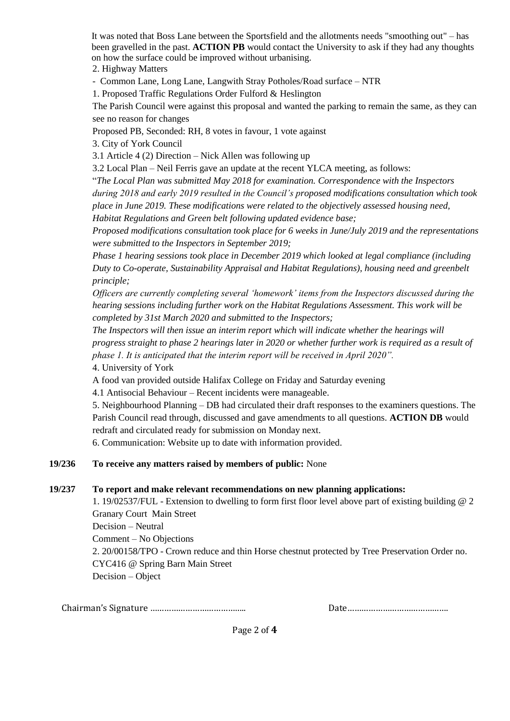It was noted that Boss Lane between the Sportsfield and the allotments needs "smoothing out" – has been gravelled in the past. **ACTION PB** would contact the University to ask if they had any thoughts on how the surface could be improved without urbanising.

2. Highway Matters

- Common Lane, Long Lane, Langwith Stray Potholes/Road surface – NTR

1. Proposed Traffic Regulations Order Fulford & Heslington

The Parish Council were against this proposal and wanted the parking to remain the same, as they can see no reason for changes

Proposed PB, Seconded: RH, 8 votes in favour, 1 vote against

3. City of York Council

3.1 Article 4 (2) Direction – Nick Allen was following up

3.2 Local Plan – Neil Ferris gave an update at the recent YLCA meeting, as follows:

"*The Local Plan was submitted May 2018 for examination. Correspondence with the Inspectors during 2018 and early 2019 resulted in the Council's proposed modifications consultation which took place in June 2019. These modifications were related to the objectively assessed housing need, Habitat Regulations and Green belt following updated evidence base;* 

*Proposed modifications consultation took place for 6 weeks in June/July 2019 and the representations were submitted to the Inspectors in September 2019;* 

*Phase 1 hearing sessions took place in December 2019 which looked at legal compliance (including Duty to Co-operate, Sustainability Appraisal and Habitat Regulations), housing need and greenbelt principle;* 

*Officers are currently completing several 'homework' items from the Inspectors discussed during the hearing sessions including further work on the Habitat Regulations Assessment. This work will be completed by 31st March 2020 and submitted to the Inspectors;* 

*The Inspectors will then issue an interim report which will indicate whether the hearings will progress straight to phase 2 hearings later in 2020 or whether further work is required as a result of phase 1. It is anticipated that the interim report will be received in April 2020".*

4. University of York

A food van provided outside Halifax College on Friday and Saturday evening

4.1 Antisocial Behaviour – Recent incidents were manageable.

5. Neighbourhood Planning – DB had circulated their draft responses to the examiners questions. The Parish Council read through, discussed and gave amendments to all questions. **ACTION DB** would redraft and circulated ready for submission on Monday next.

6. Communication: Website up to date with information provided.

#### **19/236 To receive any matters raised by members of public:** None

#### **19/237 To report and make relevant recommendations on new planning applications:**

1. 19/02537/FUL - Extension to dwelling to form first floor level above part of existing building @ 2 Granary Court Main Street Decision – Neutral Comment – No Objections 2. 20/00158/TPO - Crown reduce and thin Horse chestnut protected by Tree Preservation Order no. CYC416 @ Spring Barn Main Street Decision – Object

Chairman's Signature ………………………………….. Date…………………………………….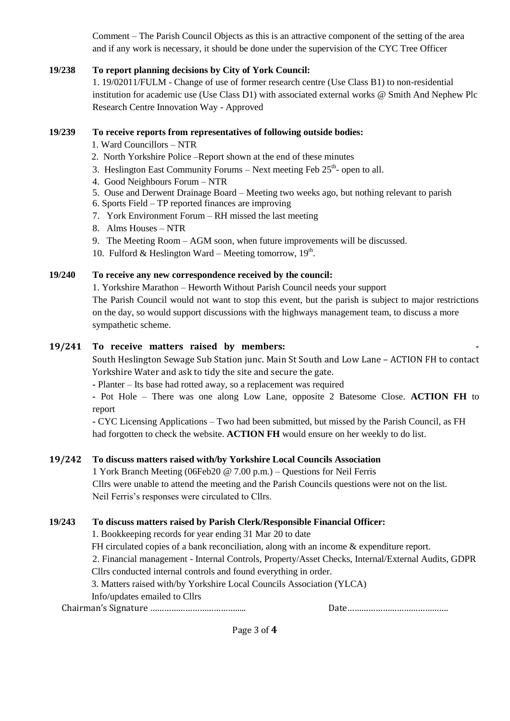Comment – The Parish Council Objects as this is an attractive component of the setting of the area and if any work is necessary, it should be done under the supervision of the CYC Tree Officer

### **19/238 To report planning decisions by City of York Council:**

1. 19/02011/FULM - Change of use of former research centre (Use Class B1) to non-residential institution for academic use (Use Class D1) with associated external works @ Smith And Nephew Plc Research Centre Innovation Way - Approved

### **19/239 To receive reports from representatives of following outside bodies:**

- 1. Ward Councillors NTR
- 2. North Yorkshire Police –Report shown at the end of these minutes
- 3. Heslington East Community Forums  $-$  Next meeting Feb 25<sup>th</sup>- open to all.
- 4. Good Neighbours Forum NTR
- 5. Ouse and Derwent Drainage Board Meeting two weeks ago, but nothing relevant to parish
- 6. Sports Field TP reported finances are improving
- 7. York Environment Forum RH missed the last meeting
- 8. Alms Houses NTR
- 9. The Meeting Room AGM soon, when future improvements will be discussed.
- 10. Fulford & Heslington Ward Meeting tomorrow,  $19<sup>th</sup>$ .

## **19/240 To receive any new correspondence received by the council:**

1. Yorkshire Marathon – Heworth Without Parish Council needs your support

The Parish Council would not want to stop this event, but the parish is subject to major restrictions on the day, so would support discussions with the highways management team, to discuss a more sympathetic scheme.

## **19/241 To receive matters raised by members: -**

South Heslington Sewage Sub Station junc. Main St South and Low Lane – ACTION FH to contact Yorkshire Water and ask to tidy the site and secure the gate.

**-** Planter – Its base had rotted away, so a replacement was required

**-** Pot Hole – There was one along Low Lane, opposite 2 Batesome Close. **ACTION FH** to report

**-** CYC Licensing Applications – Two had been submitted, but missed by the Parish Council, as FH had forgotten to check the website. **ACTION FH** would ensure on her weekly to do list.

# **19/242 To discuss matters raised with/by Yorkshire Local Councils Association**

1 York Branch Meeting (06Feb20 @ 7.00 p.m.) – Questions for Neil Ferris Cllrs were unable to attend the meeting and the Parish Councils questions were not on the list. Neil Ferris's responses were circulated to Cllrs.

# **19/243 To discuss matters raised by Parish Clerk/Responsible Financial Officer:**

1. Bookkeeping records for year ending 31 Mar 20 to date

FH circulated copies of a bank reconciliation, along with an income & expenditure report.

2. Financial management - Internal Controls, Property/Asset Checks, Internal/External Audits, GDPR Cllrs conducted internal controls and found everything in order.

3. Matters raised with/by Yorkshire Local Councils Association (YLCA) Info/updates emailed to Cllrs

Chairman's Signature ………………………………….. Date…………………………………….